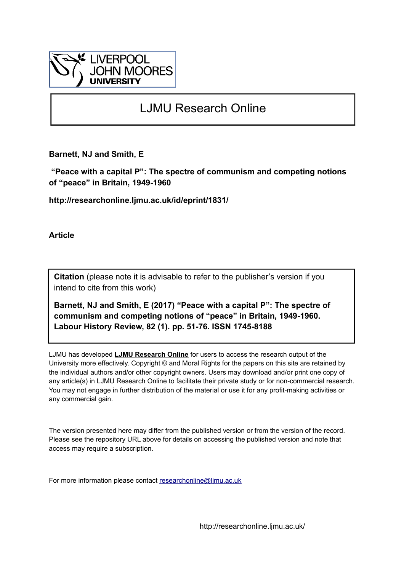

# LJMU Research Online

**Barnett, NJ and Smith, E**

 **"Peace with a capital P": The spectre of communism and competing notions of "peace" in Britain, 1949-1960**

**http://researchonline.ljmu.ac.uk/id/eprint/1831/**

**Article**

**Citation** (please note it is advisable to refer to the publisher's version if you intend to cite from this work)

**Barnett, NJ and Smith, E (2017) "Peace with a capital P": The spectre of communism and competing notions of "peace" in Britain, 1949-1960. Labour History Review, 82 (1). pp. 51-76. ISSN 1745-8188** 

LJMU has developed **[LJMU Research Online](http://researchonline.ljmu.ac.uk/)** for users to access the research output of the University more effectively. Copyright © and Moral Rights for the papers on this site are retained by the individual authors and/or other copyright owners. Users may download and/or print one copy of any article(s) in LJMU Research Online to facilitate their private study or for non-commercial research. You may not engage in further distribution of the material or use it for any profit-making activities or any commercial gain.

The version presented here may differ from the published version or from the version of the record. Please see the repository URL above for details on accessing the published version and note that access may require a subscription.

For more information please contact [researchonline@ljmu.ac.uk](mailto:researchonline@ljmu.ac.uk)

http://researchonline.ljmu.ac.uk/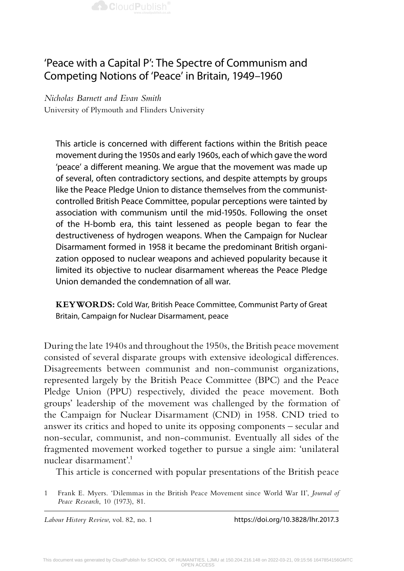

# 'Peace with a Capital P': The Spectre of Communism and Competing Notions of 'Peace' in Britain, 1949–1960

*Nicholas Barnett and Evan Smith* University of Plymouth and Flinders University

This article is concerned with different factions within the British peace movement during the 1950s and early 1960s, each of which gave the word 'peace' a different meaning. We argue that the movement was made up of several, often contradictory sections, and despite attempts by groups like the Peace Pledge Union to distance themselves from the communistcontrolled British Peace Committee, popular perceptions were tainted by association with communism until the mid-1950s. Following the onset of the H-bomb era, this taint lessened as people began to fear the destructiveness of hydrogen weapons. When the Campaign for Nuclear Disarmament formed in 1958 it became the predominant British organization opposed to nuclear weapons and achieved popularity because it limited its objective to nuclear disarmament whereas the Peace Pledge Union demanded the condemnation of all war.

**KEYWORDS:** Cold War, British Peace Committee, Communist Party of Great Britain, Campaign for Nuclear Disarmament, peace

During the late 1940s and throughout the 1950s, the British peace movement consisted of several disparate groups with extensive ideological differences. Disagreements between communist and non-communist organizations, represented largely by the British Peace Committee (BPC) and the Peace Pledge Union (PPU) respectively, divided the peace movement. Both groups' leadership of the movement was challenged by the formation of the Campaign for Nuclear Disarmament (CND) in 1958. CND tried to answer its critics and hoped to unite its opposing components – secular and non-secular, communist, and non-communist. Eventually all sides of the fragmented movement worked together to pursue a single aim: 'unilateral nuclear disarmament'.1

This article is concerned with popular presentations of the British peace

*Labour History Review*, vol. 82, no. 1 https://doi.org/10.3828/lhr.2017.3

<sup>1</sup> Frank E. Myers. 'Dilemmas in the British Peace Movement since World War II', *Journal of Peace Research*, 10 (1973), 81.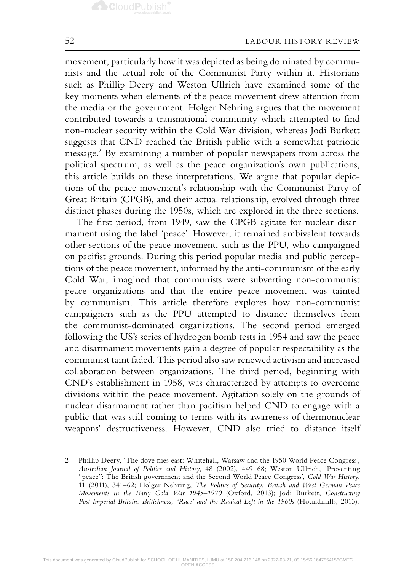52 **labour history REVIEW** 

movement, particularly how it was depicted as being dominated by communists and the actual role of the Communist Party within it. Historians such as Phillip Deery and Weston Ullrich have examined some of the key moments when elements of the peace movement drew attention from the media or the government. Holger Nehring argues that the movement contributed towards a transnational community which attempted to find non-nuclear security within the Cold War division, whereas Jodi Burkett suggests that CND reached the British public with a somewhat patriotic message.<sup>2</sup> By examining a number of popular newspapers from across the political spectrum, as well as the peace organization's own publications, this article builds on these interpretations. We argue that popular depictions of the peace movement's relationship with the Communist Party of Great Britain (CPGB), and their actual relationship, evolved through three distinct phases during the 1950s, which are explored in the three sections.

The first period, from 1949, saw the CPGB agitate for nuclear disarmament using the label 'peace'. However, it remained ambivalent towards other sections of the peace movement, such as the PPU, who campaigned on pacifist grounds. During this period popular media and public perceptions of the peace movement, informed by the anti-communism of the early Cold War, imagined that communists were subverting non-communist peace organizations and that the entire peace movement was tainted by communism. This article therefore explores how non-communist campaigners such as the PPU attempted to distance themselves from the communist-dominated organizations. The second period emerged following the US's series of hydrogen bomb tests in 1954 and saw the peace and disarmament movements gain a degree of popular respectability as the communist taint faded. This period also saw renewed activism and increased collaboration between organizations. The third period, beginning with CND's establishment in 1958, was characterized by attempts to overcome divisions within the peace movement. Agitation solely on the grounds of nuclear disarmament rather than pacifism helped CND to engage with a public that was still coming to terms with its awareness of thermonuclear weapons' destructiveness. However, CND also tried to distance itself

<sup>2</sup> Phillip Deery, 'The dove flies east: Whitehall, Warsaw and the 1950 World Peace Congress', *Australian Journal of Politics and History*, 48 (2002), 449–68; Weston Ullrich, 'Preventing "peace": The British government and the Second World Peace Congress', *Cold War History*, 11 (2011), 341–62; Holger Nehring, *The Politics of Security: British and West German Peace Movements in the Early Cold War 1945–1970* (Oxford, 2013); Jodi Burkett, *Constructing Post-Imperial Britain: Britishness, 'Race' and the Radical Left in the 1960s* (Houndmills, 2013).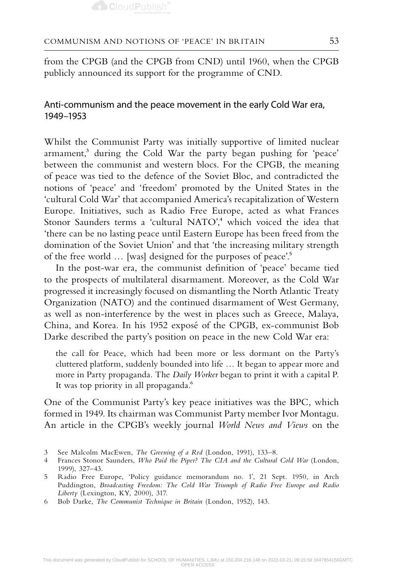

from the CPGB (and the CPGB from CND) until 1960, when the CPGB publicly announced its support for the programme of CND.

# Anti-communism and the peace movement in the early Cold War era, 1949–1953

Whilst the Communist Party was initially supportive of limited nuclear armament,<sup>3</sup> during the Cold War the party began pushing for 'peace' between the communist and western blocs. For the CPGB, the meaning of peace was tied to the defence of the Soviet Bloc, and contradicted the notions of 'peace' and 'freedom' promoted by the United States in the 'cultural Cold War' that accompanied America's recapitalization of Western Europe. Initiatives, such as Radio Free Europe, acted as what Frances Stonor Saunders terms a 'cultural NATO',<sup>4</sup> which voiced the idea that 'there can be no lasting peace until Eastern Europe has been freed from the domination of the Soviet Union' and that 'the increasing military strength of the free world ... [was] designed for the purposes of peace'.<sup>5</sup>

In the post-war era, the communist definition of 'peace' became tied to the prospects of multilateral disarmament. Moreover, as the Cold War progressed it increasingly focused on dismantling the North Atlantic Treaty Organization (NATO) and the continued disarmament of West Germany, as well as non-interference by the west in places such as Greece, Malaya, China, and Korea. In his 1952 exposé of the CPGB, ex-communist Bob Darke described the party's position on peace in the new Cold War era:

the call for Peace, which had been more or less dormant on the Party's cluttered platform, suddenly bounded into life … It began to appear more and more in Party propaganda. The *Daily Worker* began to print it with a capital P. It was top priority in all propaganda.<sup>6</sup>

One of the Communist Party's key peace initiatives was the BPC, which formed in 1949. Its chairman was Communist Party member Ivor Montagu. An article in the CPGB's weekly journal *World News and Views* on the

<sup>3</sup> See Malcolm MacEwen, *The Greening of a Red* (London, 1991), 133–8.

<sup>4</sup> Frances Stonor Saunders, *Who Paid the Piper? The CIA and the Cultural Cold War* (London, 1999), 327–43.

<sup>5</sup> Radio Free Europe, 'Policy guidance memorandum no. 1', 21 Sept. 1950, in Arch Puddington, *Broadcasting Freedom: The Cold War Triumph of Radio Free Europe and Radio Liberty* (Lexington, KY, 2000), 317.

<sup>6</sup> Bob Darke, *The Communist Technique in Britain* (London, 1952), 143.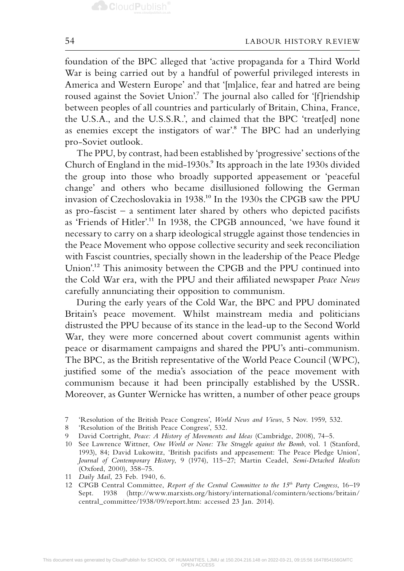54 **LABOUR HISTORY REVIEW** 

foundation of the BPC alleged that 'active propaganda for a Third World War is being carried out by a handful of powerful privileged interests in America and Western Europe' and that '[m]alice, fear and hatred are being roused against the Soviet Union<sup>'.7</sup> The journal also called for '[f]riendship between peoples of all countries and particularly of Britain, China, France, the U.S.A., and the U.S.S.R.', and claimed that the BPC 'treat[ed] none as enemies except the instigators of war'.8 The BPC had an underlying pro-Soviet outlook.

The PPU, by contrast, had been established by 'progressive' sections of the Church of England in the mid-1930s.<sup>9</sup> Its approach in the late 1930s divided the group into those who broadly supported appeasement or 'peaceful change' and others who became disillusioned following the German invasion of Czechoslovakia in 1938.<sup>10</sup> In the 1930s the CPGB saw the PPU as pro-fascist – a sentiment later shared by others who depicted pacifists as 'Friends of Hitler'.11 In 1938, the CPGB announced, 'we have found it necessary to carry on a sharp ideological struggle against those tendencies in the Peace Movement who oppose collective security and seek reconciliation with Fascist countries, specially shown in the leadership of the Peace Pledge Union'.12 This animosity between the CPGB and the PPU continued into the Cold War era, with the PPU and their affiliated newspaper *Peace News* carefully annunciating their opposition to communism.

During the early years of the Cold War, the BPC and PPU dominated Britain's peace movement. Whilst mainstream media and politicians distrusted the PPU because of its stance in the lead-up to the Second World War, they were more concerned about covert communist agents within peace or disarmament campaigns and shared the PPU's anti-communism. The BPC, as the British representative of the World Peace Council (WPC), justified some of the media's association of the peace movement with communism because it had been principally established by the USSR. Moreover, as Gunter Wernicke has written, a number of other peace groups

<sup>7</sup> 'Resolution of the British Peace Congress', *World News and Views*, 5 Nov. 1959, 532.

<sup>8</sup> 'Resolution of the British Peace Congress', 532.

<sup>9</sup> David Cortright, *Peace: A History of Movements and Ideas* (Cambridge, 2008), 74–5.

<sup>10</sup> See Lawrence Wittner, *One World or None: The Struggle against the Bomb*, vol. 1 (Stanford, 1993), 84; David Lukowitz, 'British pacifists and appeasement: The Peace Pledge Union', *Journal of Contemporary History*, 9 (1974), 115–27; Martin Ceadel, *Semi-Detached Idealists* (Oxford, 2000), 358–75.

<sup>11</sup> *Daily Mail*, 23 Feb. 1940, 6.

<sup>12</sup> CPGB Central Committee, *Report of the Central Committee to the 15th Party Congress*, 16–19 Sept. 1938 (http://www.marxists.org/history/international/comintern/sections/britain/ central\_committee/1938/09/report.htm: accessed 23 Jan. 2014).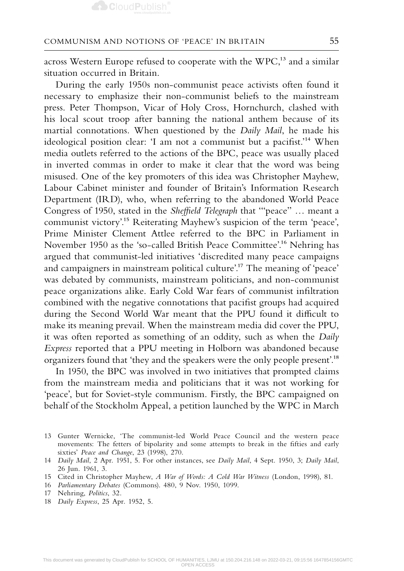

across Western Europe refused to cooperate with the WPC,<sup>13</sup> and a similar situation occurred in Britain.

During the early 1950s non-communist peace activists often found it necessary to emphasize their non-communist beliefs to the mainstream press. Peter Thompson, Vicar of Holy Cross, Hornchurch, clashed with his local scout troop after banning the national anthem because of its martial connotations. When questioned by the *Daily Mail*, he made his ideological position clear: 'I am not a communist but a pacifist.'14 When media outlets referred to the actions of the BPC, peace was usually placed in inverted commas in order to make it clear that the word was being misused. One of the key promoters of this idea was Christopher Mayhew, Labour Cabinet minister and founder of Britain's Information Research Department (IRD), who, when referring to the abandoned World Peace Congress of 1950, stated in the *Sheffield Telegraph* that '"peace" … meant a communist victory'.<sup>15</sup> Reiterating Mayhew's suspicion of the term 'peace', Prime Minister Clement Attlee referred to the BPC in Parliament in November 1950 as the 'so-called British Peace Committee'.16 Nehring has argued that communist-led initiatives 'discredited many peace campaigns and campaigners in mainstream political culture'.17 The meaning of 'peace' was debated by communists, mainstream politicians, and non-communist peace organizations alike. Early Cold War fears of communist infiltration combined with the negative connotations that pacifist groups had acquired during the Second World War meant that the PPU found it difficult to make its meaning prevail. When the mainstream media did cover the PPU, it was often reported as something of an oddity, such as when the *Daily Express* reported that a PPU meeting in Holborn was abandoned because organizers found that 'they and the speakers were the only people present'.<sup>18</sup>

In 1950, the BPC was involved in two initiatives that prompted claims from the mainstream media and politicians that it was not working for 'peace', but for Soviet-style communism. Firstly, the BPC campaigned on behalf of the Stockholm Appeal, a petition launched by the WPC in March

16 *Parliamentary Debates* (Commons). 480, 9 Nov. 1950, 1099.

18 *Daily Express*, 25 Apr. 1952, 5.

<sup>13</sup> Gunter Wernicke, 'The communist-led World Peace Council and the western peace movements: The fetters of bipolarity and some attempts to break in the fifties and early sixties' *Peace and Change*, 23 (1998), 270.

<sup>14</sup> *Daily Mail*, 2 Apr. 1951, 5. For other instances, see *Daily Mail*, 4 Sept. 1950, 3; *Daily Mail*, 26 Jun. 1961, 3.

<sup>15</sup> Cited in Christopher Mayhew, *A War of Words: A Cold War Witness* (London, 1998), 81.

<sup>17</sup> Nehring, *Politics*, 32.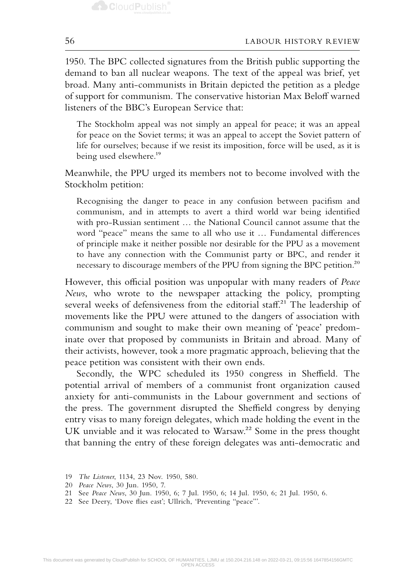56 **buying the contract of the set of the set of the set of the set of the set of the set of the set of the set of the set of the set of the set of the set of the set of the set of the set of the set of the set of the set** 

1950. The BPC collected signatures from the British public supporting the demand to ban all nuclear weapons. The text of the appeal was brief, yet broad. Many anti-communists in Britain depicted the petition as a pledge of support for communism. The conservative historian Max Beloff warned listeners of the BBC's European Service that:

The Stockholm appeal was not simply an appeal for peace; it was an appeal for peace on the Soviet terms; it was an appeal to accept the Soviet pattern of life for ourselves; because if we resist its imposition, force will be used, as it is being used elsewhere.<sup>19</sup>

Meanwhile, the PPU urged its members not to become involved with the Stockholm petition:

Recognising the danger to peace in any confusion between pacifism and communism, and in attempts to avert a third world war being identified with pro-Russian sentiment … the National Council cannot assume that the word "peace" means the same to all who use it … Fundamental differences of principle make it neither possible nor desirable for the PPU as a movement to have any connection with the Communist party or BPC, and render it necessary to discourage members of the PPU from signing the BPC petition.<sup>20</sup>

However, this official position was unpopular with many readers of *Peace News*, who wrote to the newspaper attacking the policy, prompting several weeks of defensiveness from the editorial staff.<sup>21</sup> The leadership of movements like the PPU were attuned to the dangers of association with communism and sought to make their own meaning of 'peace' predominate over that proposed by communists in Britain and abroad. Many of their activists, however, took a more pragmatic approach, believing that the peace petition was consistent with their own ends.

Secondly, the WPC scheduled its 1950 congress in Sheffield. The potential arrival of members of a communist front organization caused anxiety for anti-communists in the Labour government and sections of the press. The government disrupted the Sheffield congress by denying entry visas to many foreign delegates, which made holding the event in the UK unviable and it was relocated to Warsaw.<sup>22</sup> Some in the press thought that banning the entry of these foreign delegates was anti-democratic and

<sup>19</sup> *The Listener*, 1134, 23 Nov. 1950, 580.

<sup>20</sup> *Peace News*, 30 Jun. 1950, 7.

<sup>21</sup> See *Peace News*, 30 Jun. 1950, 6; 7 Jul. 1950, 6; 14 Jul. 1950, 6; 21 Jul. 1950, 6.

<sup>22</sup> See Deery, 'Dove flies east'; Ullrich, 'Preventing "peace"'.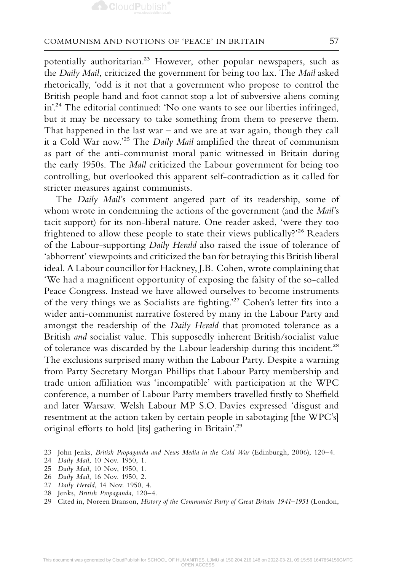

#### Communism and Notions of 'Peace' in Britain 57

potentially authoritarian.23 However, other popular newspapers, such as the *Daily Mail*, criticized the government for being too lax. The *Mail* asked rhetorically, 'odd is it not that a government who propose to control the British people hand and foot cannot stop a lot of subversive aliens coming in'.<sup>24</sup> The editorial continued: 'No one wants to see our liberties infringed, but it may be necessary to take something from them to preserve them. That happened in the last war – and we are at war again, though they call it a Cold War now.'25 The *Daily Mail* amplified the threat of communism as part of the anti-communist moral panic witnessed in Britain during the early 1950s. The *Mail* criticized the Labour government for being too controlling, but overlooked this apparent self-contradiction as it called for stricter measures against communists.

The *Daily Mail*'s comment angered part of its readership, some of whom wrote in condemning the actions of the government (and the *Mail*'s tacit support) for its non-liberal nature. One reader asked, 'were they too frightened to allow these people to state their views publically?'26 Readers of the Labour-supporting *Daily Herald* also raised the issue of tolerance of 'abhorrent' viewpoints and criticized the ban for betraying this British liberal ideal. A Labour councillor for Hackney, J.B. Cohen, wrote complaining that 'We had a magnificent opportunity of exposing the falsity of the so-called Peace Congress. Instead we have allowed ourselves to become instruments of the very things we as Socialists are fighting.'27 Cohen's letter fits into a wider anti-communist narrative fostered by many in the Labour Party and amongst the readership of the *Daily Herald* that promoted tolerance as a British *and* socialist value. This supposedly inherent British/socialist value of tolerance was discarded by the Labour leadership during this incident.<sup>28</sup> The exclusions surprised many within the Labour Party. Despite a warning from Party Secretary Morgan Phillips that Labour Party membership and trade union affiliation was 'incompatible' with participation at the WPC conference, a number of Labour Party members travelled firstly to Sheffield and later Warsaw. Welsh Labour MP S.O. Davies expressed 'disgust and resentment at the action taken by certain people in sabotaging [the WPC's] original efforts to hold [its] gathering in Britain'.29

- 24 *Daily Mail*, 10 Nov. 1950, 1.
- 25 *Daily Mail*, 10 Nov, 1950, 1.
- 26 *Daily Mail*, 16 Nov. 1950, 2.
- 27 *Daily Herald*, 14 Nov. 1950, 4.
- 28 Jenks, *British Propaganda*, 120–4.
- 29 Cited in, Noreen Branson, *History of the Communist Party of Great Britain 1941–1951* (London,

<sup>23</sup> John Jenks, *British Propaganda and News Media in the Cold War* (Edinburgh, 2006), 120–4.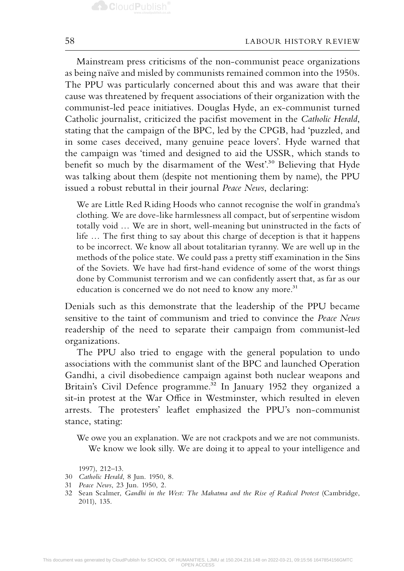58 **buying the contract of the CAROUR HISTORY REVIEW** 

Mainstream press criticisms of the non-communist peace organizations as being naïve and misled by communists remained common into the 1950s. The PPU was particularly concerned about this and was aware that their cause was threatened by frequent associations of their organization with the communist-led peace initiatives. Douglas Hyde, an ex-communist turned Catholic journalist, criticized the pacifist movement in the *Catholic Herald*, stating that the campaign of the BPC, led by the CPGB, had 'puzzled, and in some cases deceived, many genuine peace lovers'. Hyde warned that the campaign was 'timed and designed to aid the USSR, which stands to benefit so much by the disarmament of the West'.<sup>30</sup> Believing that Hyde was talking about them (despite not mentioning them by name), the PPU issued a robust rebuttal in their journal *Peace News*, declaring:

We are Little Red Riding Hoods who cannot recognise the wolf in grandma's clothing. We are dove-like harmlessness all compact, but of serpentine wisdom totally void … We are in short, well-meaning but uninstructed in the facts of life … The first thing to say about this charge of deception is that it happens to be incorrect. We know all about totalitarian tyranny. We are well up in the methods of the police state. We could pass a pretty stiff examination in the Sins of the Soviets. We have had first-hand evidence of some of the worst things done by Communist terrorism and we can confidently assert that, as far as our education is concerned we do not need to know any more.<sup>31</sup>

Denials such as this demonstrate that the leadership of the PPU became sensitive to the taint of communism and tried to convince the *Peace News* readership of the need to separate their campaign from communist-led organizations.

The PPU also tried to engage with the general population to undo associations with the communist slant of the BPC and launched Operation Gandhi, a civil disobedience campaign against both nuclear weapons and Britain's Civil Defence programme.<sup>32</sup> In January 1952 they organized a sit-in protest at the War Office in Westminster, which resulted in eleven arrests. The protesters' leaflet emphasized the PPU's non-communist stance, stating:

We owe you an explanation. We are not crackpots and we are not communists. We know we look silly. We are doing it to appeal to your intelligence and

- 30 *Catholic Herald*, 8 Jun. 1950, 8.
- 31 *Peace News*, 23 Jun. 1950, 2.

<sup>1997), 212–13.</sup>

<sup>32</sup> Sean Scalmer, *Gandhi in the West: The Mahatma and the Rise of Radical Protest* (Cambridge, 2011), 135.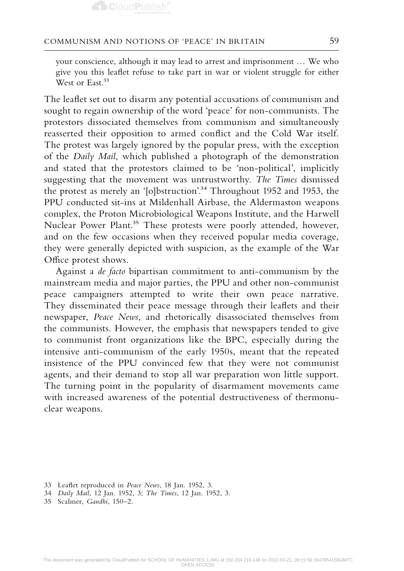your conscience, although it may lead to arrest and imprisonment … We who give you this leaflet refuse to take part in war or violent struggle for either West or East.<sup>33</sup>

The leaflet set out to disarm any potential accusations of communism and sought to regain ownership of the word 'peace' for non-communists. The protestors dissociated themselves from communism and simultaneously reasserted their opposition to armed conflict and the Cold War itself. The protest was largely ignored by the popular press, with the exception of the *Daily Mail*, which published a photograph of the demonstration and stated that the protestors claimed to be 'non-political', implicitly suggesting that the movement was untrustworthy. *The Times* dismissed the protest as merely an '[o]bstruction'.<sup>34</sup> Throughout 1952 and 1953, the PPU conducted sit-ins at Mildenhall Airbase, the Aldermaston weapons complex, the Proton Microbiological Weapons Institute, and the Harwell Nuclear Power Plant.<sup>35</sup> These protests were poorly attended, however, and on the few occasions when they received popular media coverage, they were generally depicted with suspicion, as the example of the War Office protest shows.

Against a *de facto* bipartisan commitment to anti-communism by the mainstream media and major parties, the PPU and other non-communist peace campaigners attempted to write their own peace narrative. They disseminated their peace message through their leaflets and their newspaper, *Peace News*, and rhetorically disassociated themselves from the communists. However, the emphasis that newspapers tended to give to communist front organizations like the BPC, especially during the intensive anti-communism of the early 1950s, meant that the repeated insistence of the PPU convinced few that they were not communist agents, and their demand to stop all war preparation won little support. The turning point in the popularity of disarmament movements came with increased awareness of the potential destructiveness of thermonuclear weapons.

- 34 *Daily Mail*, 12 Jan. 1952, 3; *The Times*, 12 Jan. 1952, 3.
- 35 Scalmer, *Gandhi*, 150–2.

<sup>33</sup> Leaflet reproduced in *Peace News*, 18 Jan. 1952, 3.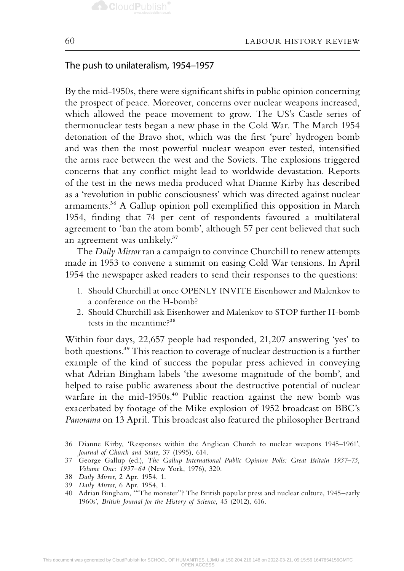### The push to unilateralism, 1954–1957

By the mid-1950s, there were significant shifts in public opinion concerning the prospect of peace. Moreover, concerns over nuclear weapons increased, which allowed the peace movement to grow. The US's Castle series of thermonuclear tests began a new phase in the Cold War. The March 1954 detonation of the Bravo shot, which was the first 'pure' hydrogen bomb and was then the most powerful nuclear weapon ever tested, intensified the arms race between the west and the Soviets. The explosions triggered concerns that any conflict might lead to worldwide devastation. Reports of the test in the news media produced what Dianne Kirby has described as a 'revolution in public consciousness' which was directed against nuclear armaments.<sup>36</sup> A Gallup opinion poll exemplified this opposition in March 1954, finding that 74 per cent of respondents favoured a multilateral agreement to 'ban the atom bomb', although 57 per cent believed that such an agreement was unlikely.<sup>37</sup>

The *Daily Mirror* ran a campaign to convince Churchill to renew attempts made in 1953 to convene a summit on easing Cold War tensions. In April 1954 the newspaper asked readers to send their responses to the questions:

- 1. Should Churchill at once OPENLY INVITE Eisenhower and Malenkov to a conference on the H-bomb?
- 2. Should Churchill ask Eisenhower and Malenkov to STOP further H-bomb tests in the meantime?<sup>38</sup>

Within four days, 22,657 people had responded, 21,207 answering 'yes' to both questions.<sup>39</sup> This reaction to coverage of nuclear destruction is a further example of the kind of success the popular press achieved in conveying what Adrian Bingham labels 'the awesome magnitude of the bomb', and helped to raise public awareness about the destructive potential of nuclear warfare in the mid-1950s.<sup>40</sup> Public reaction against the new bomb was exacerbated by footage of the Mike explosion of 1952 broadcast on BBC's *Panorama* on 13 April. This broadcast also featured the philosopher Bertrand

<sup>36</sup> Dianne Kirby, 'Responses within the Anglican Church to nuclear weapons 1945–1961', *Journal of Church and State*, 37 (1995), 614.

<sup>37</sup> George Gallup (ed.), *The Gallup International Public Opinion Polls: Great Britain 1937–75, Volume One: 1937–64* (New York, 1976), 320.

<sup>38</sup> *Daily Mirror*, 2 Apr. 1954, 1.

<sup>39</sup> *Daily Mirror*, 6 Apr. 1954, 1.

<sup>40</sup> Adrian Bingham, '"The monster"? The British popular press and nuclear culture, 1945–early 1960s', *British Journal for the History of Science*, 45 (2012), 616.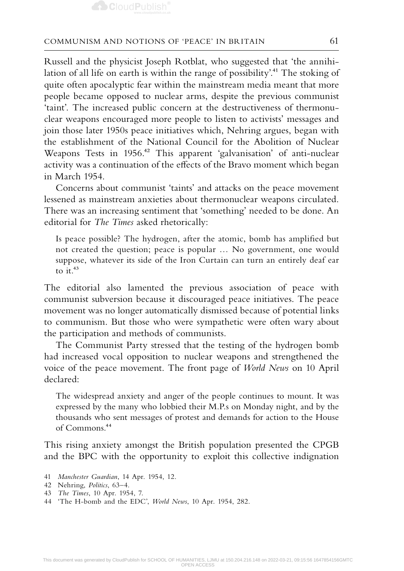

#### Communism and Notions of 'Peace' in Britain 61

Russell and the physicist Joseph Rotblat, who suggested that 'the annihilation of all life on earth is within the range of possibility'.41 The stoking of quite often apocalyptic fear within the mainstream media meant that more people became opposed to nuclear arms, despite the previous communist 'taint'. The increased public concern at the destructiveness of thermonuclear weapons encouraged more people to listen to activists' messages and join those later 1950s peace initiatives which, Nehring argues, began with the establishment of the National Council for the Abolition of Nuclear Weapons Tests in 1956.<sup>42</sup> This apparent 'galvanisation' of anti-nuclear activity was a continuation of the effects of the Bravo moment which began in March 1954.

Concerns about communist 'taints' and attacks on the peace movement lessened as mainstream anxieties about thermonuclear weapons circulated. There was an increasing sentiment that 'something' needed to be done. An editorial for *The Times* asked rhetorically:

Is peace possible? The hydrogen, after the atomic, bomb has amplified but not created the question; peace is popular … No government, one would suppose, whatever its side of the Iron Curtain can turn an entirely deaf ear to it.<sup>43</sup>

The editorial also lamented the previous association of peace with communist subversion because it discouraged peace initiatives. The peace movement was no longer automatically dismissed because of potential links to communism. But those who were sympathetic were often wary about the participation and methods of communists.

The Communist Party stressed that the testing of the hydrogen bomb had increased vocal opposition to nuclear weapons and strengthened the voice of the peace movement. The front page of *World News* on 10 April declared:

The widespread anxiety and anger of the people continues to mount. It was expressed by the many who lobbied their M.P.s on Monday night, and by the thousands who sent messages of protest and demands for action to the House of Commons.44

This rising anxiety amongst the British population presented the CPGB and the BPC with the opportunity to exploit this collective indignation

- 41 *Manchester Guardian*, 14 Apr. 1954, 12.
- 42 Nehring, *Politics*, 63–4.
- 43 *The Times*, 10 Apr. 1954, 7.
- 44 'The H-bomb and the EDC', *World News*, 10 Apr. 1954, 282.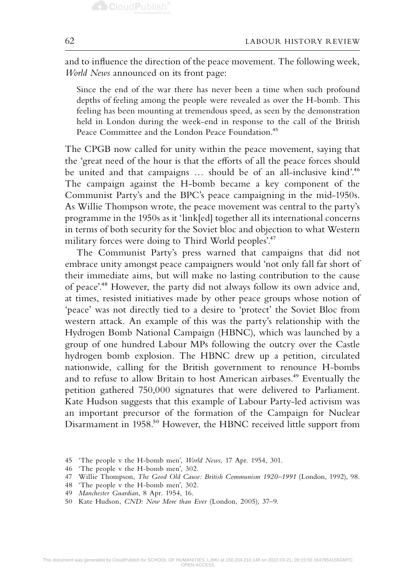62 **labour history REVIEW** 

and to influence the direction of the peace movement. The following week, *World News* announced on its front page:

Since the end of the war there has never been a time when such profound depths of feeling among the people were revealed as over the H-bomb. This feeling has been mounting at tremendous speed, as seen by the demonstration held in London during the week-end in response to the call of the British Peace Committee and the London Peace Foundation.<sup>45</sup>

The CPGB now called for unity within the peace movement, saying that the 'great need of the hour is that the efforts of all the peace forces should be united and that campaigns ... should be of an all-inclusive kind'.<sup>46</sup> The campaign against the H-bomb became a key component of the Communist Party's and the BPC's peace campaigning in the mid-1950s. As Willie Thompson wrote, the peace movement was central to the party's programme in the 1950s as it 'link[ed] together all its international concerns in terms of both security for the Soviet bloc and objection to what Western military forces were doing to Third World peoples'.<sup>47</sup>

The Communist Party's press warned that campaigns that did not embrace unity amongst peace campaigners would 'not only fall far short of their immediate aims, but will make no lasting contribution to the cause of peace'.48 However, the party did not always follow its own advice and, at times, resisted initiatives made by other peace groups whose notion of 'peace' was not directly tied to a desire to 'protect' the Soviet Bloc from western attack. An example of this was the party's relationship with the Hydrogen Bomb National Campaign (HBNC), which was launched by a group of one hundred Labour MPs following the outcry over the Castle hydrogen bomb explosion. The HBNC drew up a petition, circulated nationwide, calling for the British government to renounce H-bombs and to refuse to allow Britain to host American airbases.<sup>49</sup> Eventually the petition gathered 750,000 signatures that were delivered to Parliament. Kate Hudson suggests that this example of Labour Party-led activism was an important precursor of the formation of the Campaign for Nuclear Disarmament in 1958.<sup>50</sup> However, the HBNC received little support from

- 48 'The people v the H-bomb men', 302.
- 49 *Manchester Guardian*, 8 Apr. 1954, 16.
- 50 Kate Hudson, *CND: Now More than Ever* (London, 2005), 37–9.

<sup>45</sup> 'The people v the H-bomb men', *World News*, 17 Apr. 1954, 301.

<sup>46</sup> 'The people v the H-bomb men', 302.

<sup>47</sup> Willie Thompson, *The Good Old Cause: British Communism 1920–1991* (London, 1992), 98.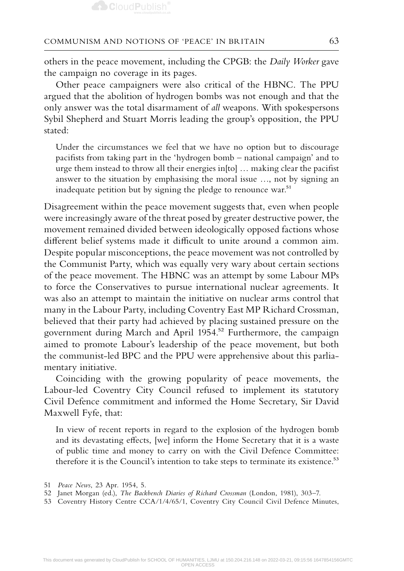

others in the peace movement, including the CPGB: the *Daily Worker* gave the campaign no coverage in its pages.

Other peace campaigners were also critical of the HBNC. The PPU argued that the abolition of hydrogen bombs was not enough and that the only answer was the total disarmament of *all* weapons. With spokespersons Sybil Shepherd and Stuart Morris leading the group's opposition, the PPU stated:

Under the circumstances we feel that we have no option but to discourage pacifists from taking part in the 'hydrogen bomb – national campaign' and to urge them instead to throw all their energies in[to] … making clear the pacifist answer to the situation by emphasising the moral issue …, not by signing an inadequate petition but by signing the pledge to renounce war.<sup>51</sup>

Disagreement within the peace movement suggests that, even when people were increasingly aware of the threat posed by greater destructive power, the movement remained divided between ideologically opposed factions whose different belief systems made it difficult to unite around a common aim. Despite popular misconceptions, the peace movement was not controlled by the Communist Party, which was equally very wary about certain sections of the peace movement. The HBNC was an attempt by some Labour MPs to force the Conservatives to pursue international nuclear agreements. It was also an attempt to maintain the initiative on nuclear arms control that many in the Labour Party, including Coventry East MP Richard Crossman, believed that their party had achieved by placing sustained pressure on the government during March and April 1954.<sup>52</sup> Furthermore, the campaign aimed to promote Labour's leadership of the peace movement, but both the communist-led BPC and the PPU were apprehensive about this parliamentary initiative.

Coinciding with the growing popularity of peace movements, the Labour-led Coventry City Council refused to implement its statutory Civil Defence commitment and informed the Home Secretary, Sir David Maxwell Fyfe, that:

In view of recent reports in regard to the explosion of the hydrogen bomb and its devastating effects, [we] inform the Home Secretary that it is a waste of public time and money to carry on with the Civil Defence Committee: therefore it is the Council's intention to take steps to terminate its existence.<sup>53</sup>

53 Coventry History Centre CCA/1/4/65/1, Coventry City Council Civil Defence Minutes,

OPEN ACCESS This document was generated by CloudPublish for SCHOOL OF HUMANITIES, LJMU at 150.204.216.148 on 2022-03-21, 09:15:56 1647854156GMTC

<sup>51</sup> *Peace News*, 23 Apr. 1954, 5.

<sup>52</sup> Janet Morgan (ed.), *The Backbench Diaries of Richard Crossman* (London, 1981), 303–7.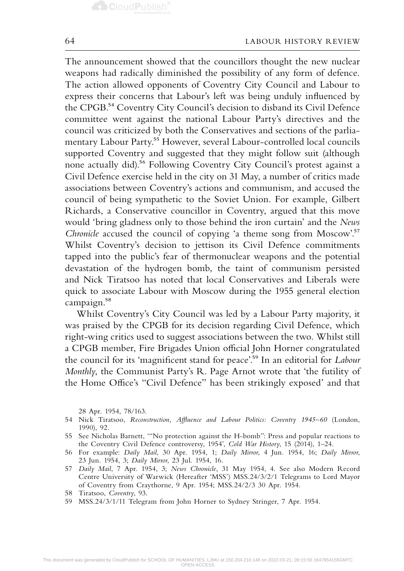The announcement showed that the councillors thought the new nuclear weapons had radically diminished the possibility of any form of defence. The action allowed opponents of Coventry City Council and Labour to express their concerns that Labour's left was being unduly influenced by the CPGB.<sup>54</sup> Coventry City Council's decision to disband its Civil Defence committee went against the national Labour Party's directives and the council was criticized by both the Conservatives and sections of the parliamentary Labour Party.<sup>55</sup> However, several Labour-controlled local councils supported Coventry and suggested that they might follow suit (although none actually did).56 Following Coventry City Council's protest against a Civil Defence exercise held in the city on 31 May, a number of critics made associations between Coventry's actions and communism, and accused the council of being sympathetic to the Soviet Union. For example, Gilbert Richards, a Conservative councillor in Coventry, argued that this move would 'bring gladness only to those behind the iron curtain' and the *News Chronicle* accused the council of copying 'a theme song from Moscow'.<sup>57</sup> Whilst Coventry's decision to jettison its Civil Defence commitments tapped into the public's fear of thermonuclear weapons and the potential devastation of the hydrogen bomb, the taint of communism persisted and Nick Tiratsoo has noted that local Conservatives and Liberals were quick to associate Labour with Moscow during the 1955 general election campaign.58

Whilst Coventry's City Council was led by a Labour Party majority, it was praised by the CPGB for its decision regarding Civil Defence, which right-wing critics used to suggest associations between the two. Whilst still a CPGB member, Fire Brigades Union official John Horner congratulated the council for its 'magnificent stand for peace'.59 In an editorial for *Labour Monthly*, the Communist Party's R. Page Arnot wrote that 'the futility of the Home Office's "Civil Defence" has been strikingly exposed' and that

28 Apr. 1954, 78/163.

- 54 Nick Tiratsoo, *Reconstruction, Affluence and Labour Politics: Coventry 1945–60* (London, 1990), 92.
- 55 See Nicholas Barnett, '"No protection against the H-bomb": Press and popular reactions to the Coventry Civil Defence controversy, 1954', *Cold War History*, 15 (2014), 1–24.
- 56 For example: *Daily Mail*, 30 Apr. 1954, 1; *Daily Mirror*, 4 Jun. 1954, 16; *Daily Mirror*, 23 Jun. 1954, 3; *Daily Mirror*, 23 Jul. 1954, 16.
- 57 *Daily Mail*, 7 Apr. 1954, 3; *News Chronicle*, 31 May 1954, 4. See also Modern Record Centre University of Warwick (Hereafter 'MSS') MSS.24/3/2/1 Telegrams to Lord Mayor of Coventry from Craythorne, 9 Apr. 1954; MSS.24/2/3 30 Apr. 1954.
- 58 Tiratsoo, *Coventry*, 93.
- 59 MSS.24/3/1/11 Telegram from John Horner to Sydney Stringer, 7 Apr. 1954.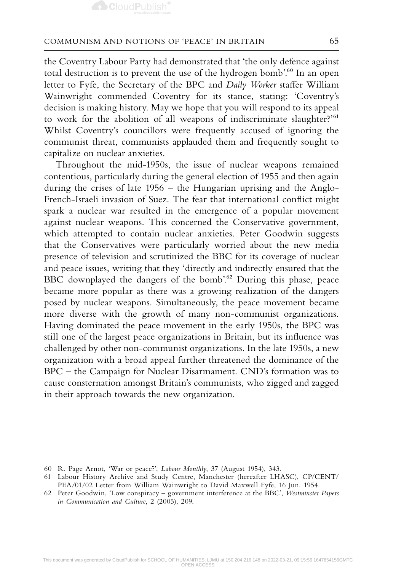

the Coventry Labour Party had demonstrated that 'the only defence against total destruction is to prevent the use of the hydrogen bomb'.<sup>60</sup> In an open letter to Fyfe, the Secretary of the BPC and *Daily Worker* staffer William Wainwright commended Coventry for its stance, stating: 'Coventry's decision is making history. May we hope that you will respond to its appeal to work for the abolition of all weapons of indiscriminate slaughter?<sup>'61</sup> Whilst Coventry's councillors were frequently accused of ignoring the communist threat, communists applauded them and frequently sought to capitalize on nuclear anxieties.

Throughout the mid-1950s, the issue of nuclear weapons remained contentious, particularly during the general election of 1955 and then again during the crises of late 1956 – the Hungarian uprising and the Anglo-French-Israeli invasion of Suez. The fear that international conflict might spark a nuclear war resulted in the emergence of a popular movement against nuclear weapons. This concerned the Conservative government, which attempted to contain nuclear anxieties. Peter Goodwin suggests that the Conservatives were particularly worried about the new media presence of television and scrutinized the BBC for its coverage of nuclear and peace issues, writing that they 'directly and indirectly ensured that the BBC downplayed the dangers of the bomb'.<sup>62</sup> During this phase, peace became more popular as there was a growing realization of the dangers posed by nuclear weapons. Simultaneously, the peace movement became more diverse with the growth of many non-communist organizations. Having dominated the peace movement in the early 1950s, the BPC was still one of the largest peace organizations in Britain, but its influence was challenged by other non-communist organizations. In the late 1950s, a new organization with a broad appeal further threatened the dominance of the BPC – the Campaign for Nuclear Disarmament. CND's formation was to cause consternation amongst Britain's communists, who zigged and zagged in their approach towards the new organization.

<sup>60</sup> R. Page Arnot, 'War or peace?', *Labour Monthly*, 37 (August 1954), 343.

<sup>61</sup> Labour History Archive and Study Centre, Manchester (hereafter LHASC), CP/CENT/ PEA/01/02 Letter from William Wainwright to David Maxwell Fyfe, 16 Jun. 1954.

<sup>62</sup> Peter Goodwin, 'Low conspiracy – government interference at the BBC', *Westminster Papers in Communication and Culture*, 2 (2005), 209.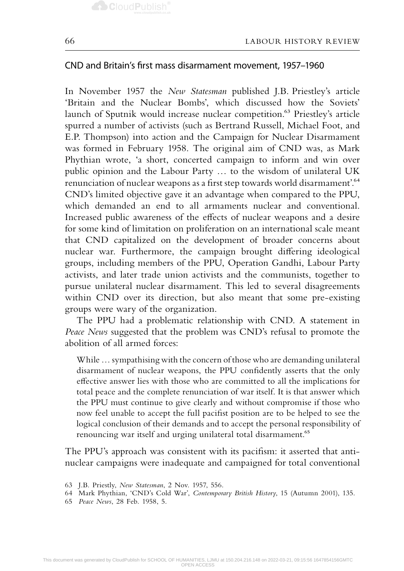

66 **buying the contract of the CAROUR HISTORY REVIEW** 

### CND and Britain's first mass disarmament movement, 1957–1960

In November 1957 the *New Statesman* published J.B. Priestley's article 'Britain and the Nuclear Bombs', which discussed how the Soviets' launch of Sputnik would increase nuclear competition.<sup>63</sup> Priestley's article spurred a number of activists (such as Bertrand Russell, Michael Foot, and E.P. Thompson) into action and the Campaign for Nuclear Disarmament was formed in February 1958. The original aim of CND was, as Mark Phythian wrote, 'a short, concerted campaign to inform and win over public opinion and the Labour Party … to the wisdom of unilateral UK renunciation of nuclear weapons as a first step towards world disarmament'.<sup>64</sup> CND's limited objective gave it an advantage when compared to the PPU, which demanded an end to all armaments nuclear and conventional. Increased public awareness of the effects of nuclear weapons and a desire for some kind of limitation on proliferation on an international scale meant that CND capitalized on the development of broader concerns about nuclear war. Furthermore, the campaign brought differing ideological groups, including members of the PPU, Operation Gandhi, Labour Party activists, and later trade union activists and the communists, together to pursue unilateral nuclear disarmament. This led to several disagreements within CND over its direction, but also meant that some pre-existing groups were wary of the organization.

The PPU had a problematic relationship with CND. A statement in *Peace News* suggested that the problem was CND's refusal to promote the abolition of all armed forces:

While … sympathising with the concern of those who are demanding unilateral disarmament of nuclear weapons, the PPU confidently asserts that the only effective answer lies with those who are committed to all the implications for total peace and the complete renunciation of war itself. It is that answer which the PPU must continue to give clearly and without compromise if those who now feel unable to accept the full pacifist position are to be helped to see the logical conclusion of their demands and to accept the personal responsibility of renouncing war itself and urging unilateral total disarmament.<sup>65</sup>

The PPU's approach was consistent with its pacifism: it asserted that antinuclear campaigns were inadequate and campaigned for total conventional

65 *Peace News*, 28 Feb. 1958, 5.

<sup>63</sup> J.B. Priestly, *New Statesman*, 2 Nov. 1957, 556.

<sup>64</sup> Mark Phythian, 'CND's Cold War', *Contemporary British History*, 15 (Autumn 2001), 135.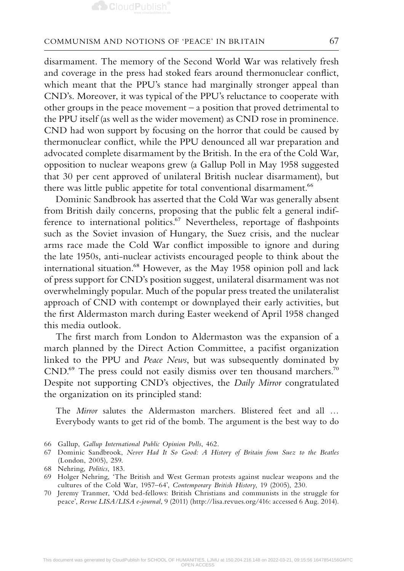

#### Communism and Notions of 'Peace' in Britain 67

disarmament. The memory of the Second World War was relatively fresh and coverage in the press had stoked fears around thermonuclear conflict, which meant that the PPU's stance had marginally stronger appeal than CND's. Moreover, it was typical of the PPU's reluctance to cooperate with other groups in the peace movement – a position that proved detrimental to the PPU itself (as well as the wider movement) as CND rose in prominence. CND had won support by focusing on the horror that could be caused by thermonuclear conflict, while the PPU denounced all war preparation and advocated complete disarmament by the British. In the era of the Cold War, opposition to nuclear weapons grew (a Gallup Poll in May 1958 suggested that 30 per cent approved of unilateral British nuclear disarmament), but there was little public appetite for total conventional disarmament.<sup>66</sup>

Dominic Sandbrook has asserted that the Cold War was generally absent from British daily concerns, proposing that the public felt a general indifference to international politics.<sup>67</sup> Nevertheless, reportage of flashpoints such as the Soviet invasion of Hungary, the Suez crisis, and the nuclear arms race made the Cold War conflict impossible to ignore and during the late 1950s, anti-nuclear activists encouraged people to think about the international situation.<sup>68</sup> However, as the May 1958 opinion poll and lack of press support for CND's position suggest, unilateral disarmament was not overwhelmingly popular. Much of the popular press treated the unilateralist approach of CND with contempt or downplayed their early activities, but the first Aldermaston march during Easter weekend of April 1958 changed this media outlook.

The first march from London to Aldermaston was the expansion of a march planned by the Direct Action Committee, a pacifist organization linked to the PPU and *Peace News*, but was subsequently dominated by CND.<sup>69</sup> The press could not easily dismiss over ten thousand marchers.<sup>70</sup> Despite not supporting CND's objectives, the *Daily Mirror* congratulated the organization on its principled stand:

The *Mirror* salutes the Aldermaston marchers. Blistered feet and all … Everybody wants to get rid of the bomb. The argument is the best way to do

- 66 Gallup, *Gallup International Public Opinion Polls*, 462.
- 67 Dominic Sandbrook, *Never Had It So Good: A History of Britain from Suez to the Beatles*  (London, 2005), 259.

70 Jeremy Tranmer, 'Odd bed-fellows: British Christians and communists in the struggle for peace', *Revue LISA/LISA e-journal*, 9 (2011) (http://lisa.revues.org/416: accessed 6 Aug. 2014).

<sup>68</sup> Nehring, *Politics*, 183.

<sup>69</sup> Holger Nehring, 'The British and West German protests against nuclear weapons and the cultures of the Cold War, 1957–64', *Contemporary British History*, 19 (2005), 230.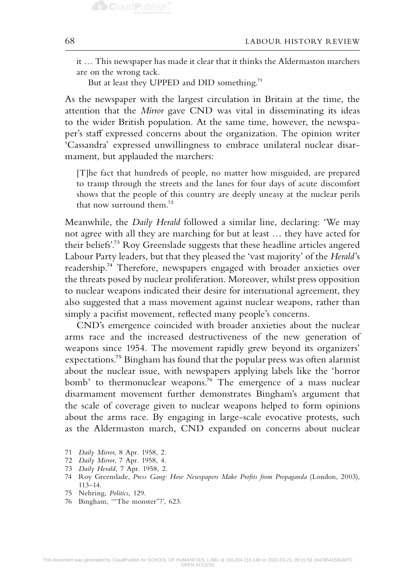it … This newspaper has made it clear that it thinks the Aldermaston marchers are on the wrong tack.

But at least they UPPED and DID something.<sup>71</sup>

As the newspaper with the largest circulation in Britain at the time, the attention that the *Mirror* gave CND was vital in disseminating its ideas to the wider British population. At the same time, however, the newspaper's staff expressed concerns about the organization. The opinion writer 'Cassandra' expressed unwillingness to embrace unilateral nuclear disarmament, but applauded the marchers:

[T]he fact that hundreds of people, no matter how misguided, are prepared to tramp through the streets and the lanes for four days of acute discomfort shows that the people of this country are deeply uneasy at the nuclear perils that now surround them.72

Meanwhile, the *Daily Herald* followed a similar line, declaring: 'We may not agree with all they are marching for but at least … they have acted for their beliefs'.73 Roy Greenslade suggests that these headline articles angered Labour Party leaders, but that they pleased the 'vast majority' of the *Herald*'s readership.74 Therefore, newspapers engaged with broader anxieties over the threats posed by nuclear proliferation. Moreover, whilst press opposition to nuclear weapons indicated their desire for international agreement, they also suggested that a mass movement against nuclear weapons, rather than simply a pacifist movement, reflected many people's concerns.

CND's emergence coincided with broader anxieties about the nuclear arms race and the increased destructiveness of the new generation of weapons since 1954. The movement rapidly grew beyond its organizers' expectations.75 Bingham has found that the popular press was often alarmist about the nuclear issue, with newspapers applying labels like the 'horror bomb' to thermonuclear weapons.<sup>76</sup> The emergence of a mass nuclear disarmament movement further demonstrates Bingham's argument that the scale of coverage given to nuclear weapons helped to form opinions about the arms race. By engaging in large-scale evocative protests, such as the Aldermaston march, CND expanded on concerns about nuclear

- 71 *Daily Mirror*, 8 Apr. 1958, 2.
- 72 *Daily Mirror*, 7 Apr. 1958, 4.
- 73 *Daily Herald*, 7 Apr. 1958, 2.
- 74 Roy Greenslade, *Press Gang: How Newspapers Make Profits from Propaganda* (London, 2003), 113–14.
- 75 Nehring, *Politics*, 129.
- 76 Bingham, '"The monster"?', 623.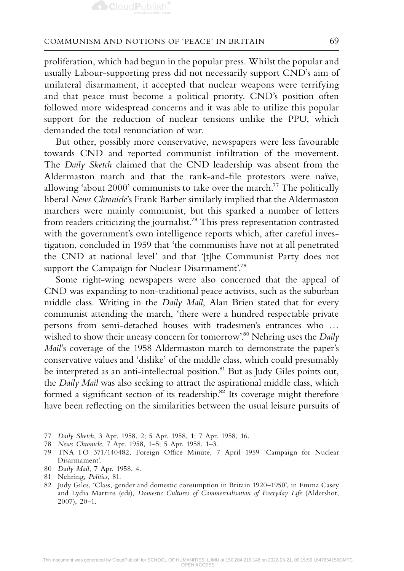proliferation, which had begun in the popular press. Whilst the popular and usually Labour-supporting press did not necessarily support CND's aim of unilateral disarmament, it accepted that nuclear weapons were terrifying and that peace must become a political priority. CND's position often followed more widespread concerns and it was able to utilize this popular support for the reduction of nuclear tensions unlike the PPU, which demanded the total renunciation of war.

But other, possibly more conservative, newspapers were less favourable towards CND and reported communist infiltration of the movement. The *Daily Sketch* claimed that the CND leadership was absent from the Aldermaston march and that the rank-and-file protestors were naïve, allowing 'about 2000' communists to take over the march.<sup>77</sup> The politically liberal *News Chronicle*'s Frank Barber similarly implied that the Aldermaston marchers were mainly communist, but this sparked a number of letters from readers criticizing the journalist.78 This press representation contrasted with the government's own intelligence reports which, after careful investigation, concluded in 1959 that 'the communists have not at all penetrated the CND at national level' and that '[t]he Communist Party does not support the Campaign for Nuclear Disarmament'.<sup>79</sup>

Some right-wing newspapers were also concerned that the appeal of CND was expanding to non-traditional peace activists, such as the suburban middle class. Writing in the *Daily Mail*, Alan Brien stated that for every communist attending the march, 'there were a hundred respectable private persons from semi-detached houses with tradesmen's entrances who … wished to show their uneasy concern for tomorrow'.<sup>80</sup> Nehring uses the *Daily Mail*'s coverage of the 1958 Aldermaston march to demonstrate the paper's conservative values and 'dislike' of the middle class, which could presumably be interpreted as an anti-intellectual position.<sup>81</sup> But as Judy Giles points out, the *Daily Mail* was also seeking to attract the aspirational middle class, which formed a significant section of its readership.<sup>82</sup> Its coverage might therefore have been reflecting on the similarities between the usual leisure pursuits of

- 77 *Daily Sketch*, 3 Apr. 1958, 2; 5 Apr. 1958, 1; 7 Apr. 1958, 16.
- 78 *News Chronicle*, 7 Apr. 1958, 1–5; 5 Apr. 1958, 1–3.
- 79 TNA FO 371/140482, Foreign Office Minute, 7 April 1959 'Campaign for Nuclear Disarmament'.
- 80 *Daily Mail*, 7 Apr. 1958, 4.
- 81 Nehring, *Politics*, 81.
- 82 Judy Giles, 'Class, gender and domestic consumption in Britain 1920–1950', in Emma Casey and Lydia Martins (eds), *Domestic Cultures of Commercialisation of Everyday Life* (Aldershot, 2007), 20–1.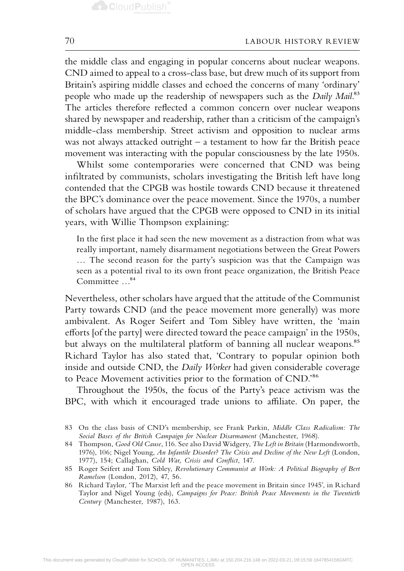70 **labour history REVIEW** 

the middle class and engaging in popular concerns about nuclear weapons. CND aimed to appeal to a cross-class base, but drew much of its support from Britain's aspiring middle classes and echoed the concerns of many 'ordinary' people who made up the readership of newspapers such as the *Daily Mail*.<sup>83</sup> The articles therefore reflected a common concern over nuclear weapons shared by newspaper and readership, rather than a criticism of the campaign's middle-class membership. Street activism and opposition to nuclear arms was not always attacked outright  $-$  a testament to how far the British peace movement was interacting with the popular consciousness by the late 1950s.

Whilst some contemporaries were concerned that CND was being infiltrated by communists, scholars investigating the British left have long contended that the CPGB was hostile towards CND because it threatened the BPC's dominance over the peace movement. Since the 1970s, a number of scholars have argued that the CPGB were opposed to CND in its initial years, with Willie Thompson explaining:

In the first place it had seen the new movement as a distraction from what was really important, namely disarmament negotiations between the Great Powers … The second reason for the party's suspicion was that the Campaign was seen as a potential rival to its own front peace organization, the British Peace Committee …84

Nevertheless, other scholars have argued that the attitude of the Communist Party towards CND (and the peace movement more generally) was more ambivalent. As Roger Seifert and Tom Sibley have written, the 'main efforts [of the party] were directed toward the peace campaign' in the 1950s, but always on the multilateral platform of banning all nuclear weapons.<sup>85</sup> Richard Taylor has also stated that, 'Contrary to popular opinion both inside and outside CND, the *Daily Worker* had given considerable coverage to Peace Movement activities prior to the formation of CND.'86

Throughout the 1950s, the focus of the Party's peace activism was the BPC, with which it encouraged trade unions to affiliate. On paper, the

86 Richard Taylor, 'The Marxist left and the peace movement in Britain since 1945', in Richard Taylor and Nigel Young (eds), *Campaigns for Peace: British Peace Movements in the Twentieth Century* (Manchester, 1987), 163.

<sup>83</sup> On the class basis of CND's membership, see Frank Parkin, *Middle Class Radicalism: The Social Bases of the British Campaign for Nuclear Disarmament* (Manchester, 1968).

<sup>84</sup> Thompson, *Good Old Cause*, 116. See also David Widgery, *The Left in Britain* (Harmondsworth, 1976), 106; Nigel Young, *An Infantile Disorder? The Crisis and Decline of the New Left* (London, 1977), 154; Callaghan, *Cold War, Crisis and Conflict*, 147.

<sup>85</sup> Roger Seifert and Tom Sibley, *Revolutionary Communist at Work: A Political Biography of Bert Ramelson* (London, 2012), 47, 56.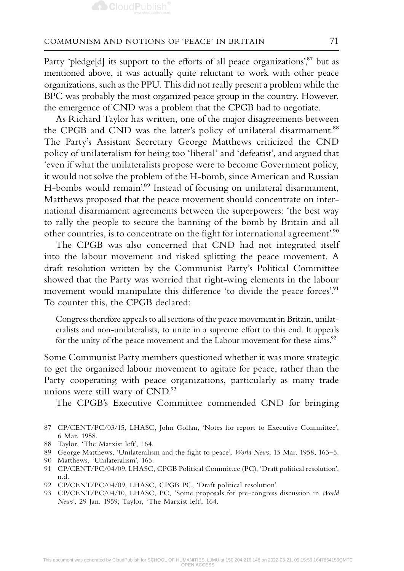

Party 'pledge[d] its support to the efforts of all peace organizations',<sup>87</sup> but as mentioned above, it was actually quite reluctant to work with other peace organizations, such as the PPU. This did not really present a problem while the BPC was probably the most organized peace group in the country. However, the emergence of CND was a problem that the CPGB had to negotiate.

As Richard Taylor has written, one of the major disagreements between the CPGB and CND was the latter's policy of unilateral disarmament.<sup>88</sup> The Party's Assistant Secretary George Matthews criticized the CND policy of unilateralism for being too 'liberal' and 'defeatist', and argued that 'even if what the unilateralists propose were to become Government policy, it would not solve the problem of the H-bomb, since American and Russian H-bombs would remain'.<sup>89</sup> Instead of focusing on unilateral disarmament, Matthews proposed that the peace movement should concentrate on international disarmament agreements between the superpowers: 'the best way to rally the people to secure the banning of the bomb by Britain and all other countries, is to concentrate on the fight for international agreement'.<sup>90</sup>

The CPGB was also concerned that CND had not integrated itself into the labour movement and risked splitting the peace movement. A draft resolution written by the Communist Party's Political Committee showed that the Party was worried that right-wing elements in the labour movement would manipulate this difference 'to divide the peace forces'.<sup>91</sup> To counter this, the CPGB declared:

Congress therefore appeals to all sections of the peace movement in Britain, unilateralists and non-unilateralists, to unite in a supreme effort to this end. It appeals for the unity of the peace movement and the Labour movement for these aims.<sup>92</sup>

Some Communist Party members questioned whether it was more strategic to get the organized labour movement to agitate for peace, rather than the Party cooperating with peace organizations, particularly as many trade unions were still wary of CND.<sup>93</sup>

The CPGB's Executive Committee commended CND for bringing

- 88 Taylor, 'The Marxist left', 164.
- 89 George Matthews, 'Unilateralism and the fight to peace', *World News*, 15 Mar. 1958, 163–5.
- 90 Matthews, 'Unilateralism', 165.
- 91 CP/CENT/PC/04/09, LHASC, CPGB Political Committee (PC), 'Draft political resolution', n.d.
- 92 CP/CENT/PC/04/09, LHASC, CPGB PC, 'Draft political resolution'.
- 93 CP/CENT/PC/04/10, LHASC, PC, 'Some proposals for pre-congress discussion in *World News*', 29 Jan. 1959; Taylor, 'The Marxist left', 164.

<sup>87</sup> CP/CENT/PC/03/15, LHASC, John Gollan, 'Notes for report to Executive Committee', 6 Mar. 1958.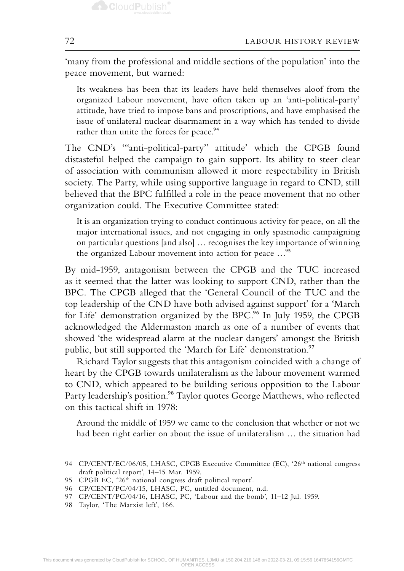'many from the professional and middle sections of the population' into the peace movement, but warned:

Its weakness has been that its leaders have held themselves aloof from the organized Labour movement, have often taken up an 'anti-political-party' attitude, have tried to impose bans and proscriptions, and have emphasised the issue of unilateral nuclear disarmament in a way which has tended to divide rather than unite the forces for peace.<sup>94</sup>

The CND's '"anti-political-party" attitude' which the CPGB found distasteful helped the campaign to gain support. Its ability to steer clear of association with communism allowed it more respectability in British society. The Party, while using supportive language in regard to CND, still believed that the BPC fulfilled a role in the peace movement that no other organization could. The Executive Committee stated:

It is an organization trying to conduct continuous activity for peace, on all the major international issues, and not engaging in only spasmodic campaigning on particular questions [and also] … recognises the key importance of winning the organized Labour movement into action for peace …95

By mid-1959, antagonism between the CPGB and the TUC increased as it seemed that the latter was looking to support CND, rather than the BPC. The CPGB alleged that the 'General Council of the TUC and the top leadership of the CND have both advised against support' for a 'March for Life' demonstration organized by the BPC.<sup>96</sup> In July 1959, the CPGB acknowledged the Aldermaston march as one of a number of events that showed 'the widespread alarm at the nuclear dangers' amongst the British public, but still supported the 'March for Life' demonstration.<sup>97</sup>

Richard Taylor suggests that this antagonism coincided with a change of heart by the CPGB towards unilateralism as the labour movement warmed to CND, which appeared to be building serious opposition to the Labour Party leadership's position.<sup>98</sup> Taylor quotes George Matthews, who reflected on this tactical shift in 1978:

Around the middle of 1959 we came to the conclusion that whether or not we had been right earlier on about the issue of unilateralism … the situation had

- 95 CPGB EC, '26<sup>th</sup> national congress draft political report'.
- 96 CP/CENT/PC/04/15, LHASC, PC, untitled document, n.d.
- 97 CP/CENT/PC/04/16, LHASC, PC, 'Labour and the bomb', 11–12 Jul. 1959.
- 98 Taylor, 'The Marxist left', 166.

OPEN ACCESS This document was generated by CloudPublish for SCHOOL OF HUMANITIES, LJMU at 150.204.216.148 on 2022-03-21, 09:15:56 1647854156GMTC

<sup>94</sup> CP/CENT/EC/06/05, LHASC, CPGB Executive Committee (EC), '26<sup>th</sup> national congress draft political report', 14–15 Mar. 1959.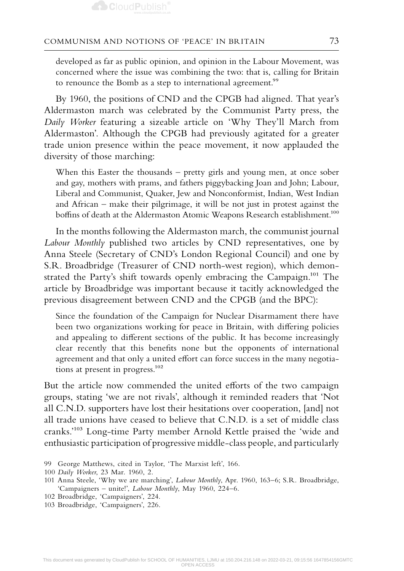developed as far as public opinion, and opinion in the Labour Movement, was concerned where the issue was combining the two: that is, calling for Britain to renounce the Bomb as a step to international agreement.<sup>99</sup>

By 1960, the positions of CND and the CPGB had aligned. That year's Aldermaston march was celebrated by the Communist Party press, the *Daily Worker* featuring a sizeable article on 'Why They'll March from Aldermaston'. Although the CPGB had previously agitated for a greater trade union presence within the peace movement, it now applauded the diversity of those marching:

When this Easter the thousands – pretty girls and young men, at once sober and gay, mothers with prams, and fathers piggybacking Joan and John; Labour, Liberal and Communist, Quaker, Jew and Nonconformist, Indian, West Indian and African – make their pilgrimage, it will be not just in protest against the boffins of death at the Aldermaston Atomic Weapons Research establishment.<sup>100</sup>

In the months following the Aldermaston march, the communist journal *Labour Monthly* published two articles by CND representatives, one by Anna Steele (Secretary of CND's London Regional Council) and one by S.R. Broadbridge (Treasurer of CND north-west region), which demonstrated the Party's shift towards openly embracing the Campaign.<sup>101</sup> The article by Broadbridge was important because it tacitly acknowledged the previous disagreement between CND and the CPGB (and the BPC):

Since the foundation of the Campaign for Nuclear Disarmament there have been two organizations working for peace in Britain, with differing policies and appealing to different sections of the public. It has become increasingly clear recently that this benefits none but the opponents of international agreement and that only a united effort can force success in the many negotiations at present in progress.<sup>102</sup>

But the article now commended the united efforts of the two campaign groups, stating 'we are not rivals', although it reminded readers that 'Not all C.N.D. supporters have lost their hesitations over cooperation, [and] not all trade unions have ceased to believe that C.N.D. is a set of middle class cranks.'103 Long-time Party member Arnold Kettle praised the 'wide and enthusiastic participation of progressive middle-class people, and particularly

- 99 George Matthews, cited in Taylor, 'The Marxist left', 166.
- 100 *Daily Worker*, 23 Mar. 1960, 2.
- 101 Anna Steele, 'Why we are marching', *Labour Monthly*, Apr. 1960, 163–6; S.R. Broadbridge, 'Campaigners – unite!', *Labour Monthly*, May 1960, 224–6.
- 102 Broadbridge, 'Campaigners', 224.
- 103 Broadbridge, 'Campaigners', 226.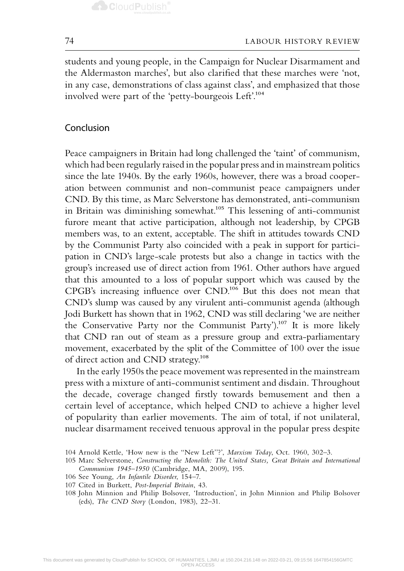74 **labour history Review** 

students and young people, in the Campaign for Nuclear Disarmament and the Aldermaston marches', but also clarified that these marches were 'not, in any case, demonstrations of class against class', and emphasized that those involved were part of the 'petty-bourgeois Left'.<sup>104</sup>

## Conclusion

Peace campaigners in Britain had long challenged the 'taint' of communism, which had been regularly raised in the popular press and in mainstream politics since the late 1940s. By the early 1960s, however, there was a broad cooperation between communist and non-communist peace campaigners under CND. By this time, as Marc Selverstone has demonstrated, anti-communism in Britain was diminishing somewhat.<sup>105</sup> This lessening of anti-communist furore meant that active participation, although not leadership, by CPGB members was, to an extent, acceptable. The shift in attitudes towards CND by the Communist Party also coincided with a peak in support for participation in CND's large-scale protests but also a change in tactics with the group's increased use of direct action from 1961. Other authors have argued that this amounted to a loss of popular support which was caused by the CPGB's increasing influence over CND.<sup>106</sup> But this does not mean that CND's slump was caused by any virulent anti-communist agenda (although Jodi Burkett has shown that in 1962, CND was still declaring 'we are neither the Conservative Party nor the Communist Party').<sup>107</sup> It is more likely that CND ran out of steam as a pressure group and extra-parliamentary movement, exacerbated by the split of the Committee of 100 over the issue of direct action and CND strategy.<sup>108</sup>

In the early 1950s the peace movement was represented in the mainstream press with a mixture of anti-communist sentiment and disdain. Throughout the decade, coverage changed firstly towards bemusement and then a certain level of acceptance, which helped CND to achieve a higher level of popularity than earlier movements. The aim of total, if not unilateral, nuclear disarmament received tenuous approval in the popular press despite

<sup>104</sup> Arnold Kettle, 'How new is the "New Left''?', *Marxism Today*, Oct. 1960, 302–3.

<sup>105</sup> Marc Selverstone, *Constructing the Monolith: The United States, Great Britain and International Communism 1945–1950* (Cambridge, MA, 2009), 195.

<sup>106</sup> See Young, *An Infantile Disorder*, 154–7.

<sup>107</sup> Cited in Burkett, *Post-Imperial Britain*, 43.

<sup>108</sup> John Minnion and Philip Bolsover, 'Introduction', in John Minnion and Philip Bolsover (eds), *The CND Story* (London, 1983), 22–31.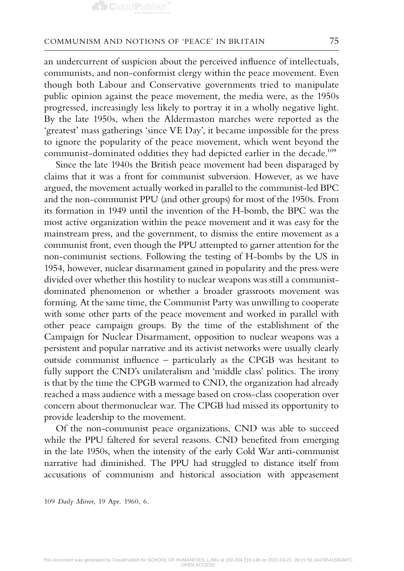#### Communism and Notions of 'Peace' in Britain 75

an undercurrent of suspicion about the perceived influence of intellectuals, communists, and non-conformist clergy within the peace movement. Even though both Labour and Conservative governments tried to manipulate public opinion against the peace movement, the media were, as the 1950s progressed, increasingly less likely to portray it in a wholly negative light. By the late 1950s, when the Aldermaston marches were reported as the 'greatest' mass gatherings 'since VE Day', it became impossible for the press to ignore the popularity of the peace movement, which went beyond the communist-dominated oddities they had depicted earlier in the decade.<sup>109</sup>

Since the late 1940s the British peace movement had been disparaged by claims that it was a front for communist subversion. However, as we have argued, the movement actually worked in parallel to the communist-led BPC and the non-communist PPU (and other groups) for most of the 1950s. From its formation in 1949 until the invention of the H-bomb, the BPC was the most active organization within the peace movement and it was easy for the mainstream press, and the government, to dismiss the entire movement as a communist front, even though the PPU attempted to garner attention for the non-communist sections. Following the testing of H-bombs by the US in 1954, however, nuclear disarmament gained in popularity and the press were divided over whether this hostility to nuclear weapons was still a communistdominated phenomenon or whether a broader grassroots movement was forming. At the same time, the Communist Party was unwilling to cooperate with some other parts of the peace movement and worked in parallel with other peace campaign groups. By the time of the establishment of the Campaign for Nuclear Disarmament, opposition to nuclear weapons was a persistent and popular narrative and its activist networks were usually clearly outside communist influence – particularly as the CPGB was hesitant to fully support the CND's unilateralism and 'middle class' politics. The irony is that by the time the CPGB warmed to CND, the organization had already reached a mass audience with a message based on cross-class cooperation over concern about thermonuclear war. The CPGB had missed its opportunity to provide leadership to the movement.

Of the non-communist peace organizations, CND was able to succeed while the PPU faltered for several reasons. CND benefited from emerging in the late 1950s, when the intensity of the early Cold War anti-communist narrative had diminished. The PPU had struggled to distance itself from accusations of communism and historical association with appeasement

109 *Daily Mirror*, 19 Apr. 1960, 6.